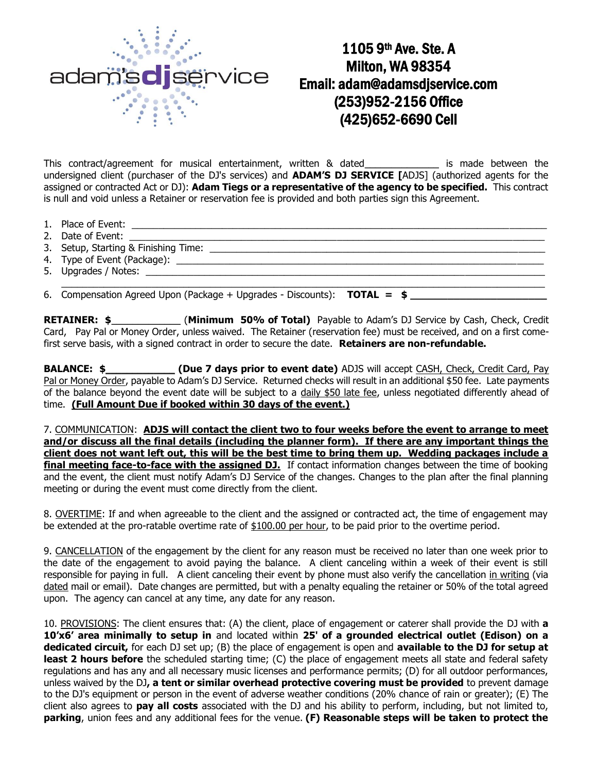

## 1105 9th Ave. Ste. A Milton, WA 98354 Email: adam@adamsdjservice.com (253)952-2156 Office (425)652-6690 Cell

This contract/agreement for musical entertainment, written & dated\_\_\_\_\_\_\_\_\_\_\_\_\_\_ is made between the undersigned client (purchaser of the DJ's services) and **ADAM'S DJ SERVICE [**ADJS] (authorized agents for the assigned or contracted Act or DJ): **Adam Tiegs or a representative of the agency to be specified.** This contract is null and void unless a Retainer or reservation fee is provided and both parties sign this Agreement.

- 1. Place of Event: \_\_\_\_\_\_\_\_\_\_\_\_\_\_\_\_\_\_\_\_\_\_\_\_\_\_\_\_\_\_\_\_\_\_\_\_\_\_\_\_\_\_\_\_\_\_\_\_\_\_\_\_\_\_\_\_\_\_\_\_\_\_\_\_\_\_\_\_\_\_\_\_\_\_\_\_\_\_
- 2. Date of Event: \_\_\_\_\_\_\_\_\_\_\_\_\_\_\_\_\_\_\_\_\_\_\_\_\_\_\_\_\_\_\_\_\_\_\_\_\_\_\_\_\_\_\_\_\_\_\_\_\_\_\_\_\_\_\_\_\_\_\_\_\_\_\_\_\_\_\_\_\_\_\_\_\_\_\_\_\_\_
- 3. Setup, Starting & Finishing Time:
- 4. Type of Event (Package): \_\_\_\_\_\_\_\_\_\_\_\_\_\_\_\_\_\_\_\_\_\_\_\_\_\_\_\_\_\_\_\_\_\_\_\_\_\_\_\_\_\_\_\_\_\_\_\_\_\_\_\_\_\_\_\_\_\_\_\_\_\_\_\_\_\_\_\_\_
- 5. Upgrades / Notes: \_\_\_\_\_\_\_\_\_\_\_\_\_\_\_\_\_\_\_\_\_\_\_\_\_\_\_\_\_\_\_\_\_\_\_\_\_\_\_\_\_\_\_\_\_\_\_\_\_\_\_\_\_\_\_\_\_\_\_\_\_\_\_\_\_\_\_\_\_\_\_\_\_\_\_

\_\_\_\_\_\_\_\_\_\_\_\_\_\_\_\_\_\_\_\_\_\_\_\_\_\_\_\_\_\_\_\_\_\_\_\_\_\_\_\_\_\_\_\_\_\_\_\_\_\_\_\_\_\_\_\_\_\_\_\_\_\_\_\_\_\_\_\_\_\_\_\_\_\_\_\_\_\_\_\_\_\_\_\_\_\_\_\_\_\_\_ 6. Compensation Agreed Upon (Package + Upgrades - Discounts): **TOTAL = \$ \_\_\_\_\_\_\_\_\_\_\_\_\_\_\_\_\_\_\_\_\_\_**

**RETAINER: \$**\_\_\_\_\_\_\_\_\_\_\_\_\_ (**Minimum 50% of Total)** Payable to Adam's DJ Service by Cash, Check, Credit Card, Pay Pal or Money Order, unless waived. The Retainer (reservation fee) must be received, and on a first comefirst serve basis, with a signed contract in order to secure the date. **Retainers are non-refundable.**

**BALANCE: \$**\_\_\_\_\_\_\_\_\_\_\_\_\_ **(Due 7 days prior to event date)** ADJS will accept CASH, Check, Credit Card, Pay Pal or Money Order, payable to Adam's DJ Service. Returned checks will result in an additional \$50 fee. Late payments of the balance beyond the event date will be subject to a daily \$50 late fee, unless negotiated differently ahead of time. **(Full Amount Due if booked within 30 days of the event.)** 

7. COMMUNICATION: **ADJS will contact the client two to four weeks before the event to arrange to meet and/or discuss all the final details (including the planner form). If there are any important things the client does not want left out, this will be the best time to bring them up. Wedding packages include a final meeting face-to-face with the assigned DJ.** If contact information changes between the time of booking and the event, the client must notify Adam's DJ Service of the changes. Changes to the plan after the final planning meeting or during the event must come directly from the client.

8. OVERTIME: If and when agreeable to the client and the assigned or contracted act, the time of engagement may be extended at the pro-ratable overtime rate of \$100.00 per hour, to be paid prior to the overtime period.

9. CANCELLATION of the engagement by the client for any reason must be received no later than one week prior to the date of the engagement to avoid paying the balance. A client canceling within a week of their event is still responsible for paying in full. A client canceling their event by phone must also verify the cancellation in writing (via dated mail or email). Date changes are permitted, but with a penalty equaling the retainer or 50% of the total agreed upon. The agency can cancel at any time, any date for any reason.

10. PROVISIONS: The client ensures that: (A) the client, place of engagement or caterer shall provide the DJ with **a 10'x6' area minimally to setup in** and located within **25' of a grounded electrical outlet (Edison) on a dedicated circuit,** for each DJ set up; (B) the place of engagement is open and **available to the DJ for setup at**  least 2 hours before the scheduled starting time; (C) the place of engagement meets all state and federal safety regulations and has any and all necessary music licenses and performance permits; (D) for all outdoor performances, unless waived by the DJ**, a tent or similar overhead protective covering must be provided** to prevent damage to the DJ's equipment or person in the event of adverse weather conditions (20% chance of rain or greater); (E) The client also agrees to **pay all costs** associated with the DJ and his ability to perform, including, but not limited to, **parking**, union fees and any additional fees for the venue. **(F) Reasonable steps will be taken to protect the**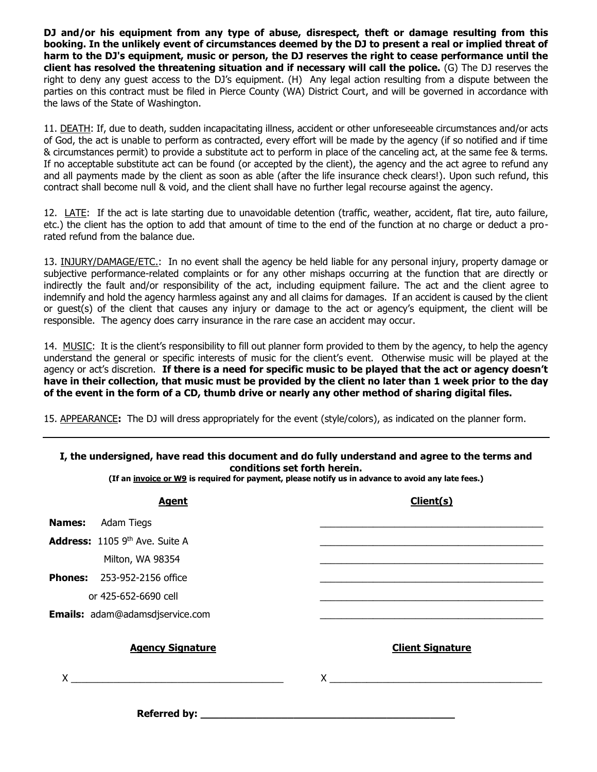**DJ and/or his equipment from any type of abuse, disrespect, theft or damage resulting from this booking. In the unlikely event of circumstances deemed by the DJ to present a real or implied threat of harm to the DJ's equipment, music or person, the DJ reserves the right to cease performance until the client has resolved the threatening situation and if necessary will call the police.** (G) The DJ reserves the right to deny any guest access to the DJ's equipment. (H) Any legal action resulting from a dispute between the parties on this contract must be filed in Pierce County (WA) District Court, and will be governed in accordance with the laws of the State of Washington.

11. DEATH: If, due to death, sudden incapacitating illness, accident or other unforeseeable circumstances and/or acts of God, the act is unable to perform as contracted, every effort will be made by the agency (if so notified and if time & circumstances permit) to provide a substitute act to perform in place of the canceling act, at the same fee & terms. If no acceptable substitute act can be found (or accepted by the client), the agency and the act agree to refund any and all payments made by the client as soon as able (after the life insurance check clears!). Upon such refund, this contract shall become null & void, and the client shall have no further legal recourse against the agency.

12. LATE: If the act is late starting due to unavoidable detention (traffic, weather, accident, flat tire, auto failure, etc.) the client has the option to add that amount of time to the end of the function at no charge or deduct a prorated refund from the balance due.

13. INJURY/DAMAGE/ETC.: In no event shall the agency be held liable for any personal injury, property damage or subjective performance-related complaints or for any other mishaps occurring at the function that are directly or indirectly the fault and/or responsibility of the act, including equipment failure. The act and the client agree to indemnify and hold the agency harmless against any and all claims for damages. If an accident is caused by the client or guest(s) of the client that causes any injury or damage to the act or agency's equipment, the client will be responsible. The agency does carry insurance in the rare case an accident may occur.

14. MUSIC: It is the client's responsibility to fill out planner form provided to them by the agency, to help the agency understand the general or specific interests of music for the client's event. Otherwise music will be played at the agency or act's discretion. **If there is a need for specific music to be played that the act or agency doesn't have in their collection, that music must be provided by the client no later than 1 week prior to the day of the event in the form of a CD, thumb drive or nearly any other method of sharing digital files.**

15. APPEARANCE**:** The DJ will dress appropriately for the event (style/colors), as indicated on the planner form.

| I, the undersigned, have read this document and do fully understand and agree to the terms and<br>conditions set forth herein.<br>(If an invoice or W9 is required for payment, please notify us in advance to avoid any late fees.) |                                                                                                                       |
|--------------------------------------------------------------------------------------------------------------------------------------------------------------------------------------------------------------------------------------|-----------------------------------------------------------------------------------------------------------------------|
| <b>Agent</b>                                                                                                                                                                                                                         | Client(s)                                                                                                             |
| <b>Names:</b><br>Adam Tiegs                                                                                                                                                                                                          |                                                                                                                       |
| <b>Address:</b> 1105 9 <sup>th</sup> Ave. Suite A                                                                                                                                                                                    |                                                                                                                       |
| Milton, WA 98354                                                                                                                                                                                                                     |                                                                                                                       |
| <b>Phones:</b> 253-952-2156 office                                                                                                                                                                                                   |                                                                                                                       |
| or 425-652-6690 cell                                                                                                                                                                                                                 | <u> 1989 - Johann Harry Harry Harry Harry Harry Harry Harry Harry Harry Harry Harry Harry Harry Harry Harry Harry</u> |
| <b>Emails:</b> adam@adamsdjservice.com                                                                                                                                                                                               |                                                                                                                       |
| <b>Agency Signature</b>                                                                                                                                                                                                              | <b>Client Signature</b>                                                                                               |
| $\mathsf{X}$                                                                                                                                                                                                                         | $\mathsf{X}$                                                                                                          |
| <b>Referred by:</b>                                                                                                                                                                                                                  |                                                                                                                       |